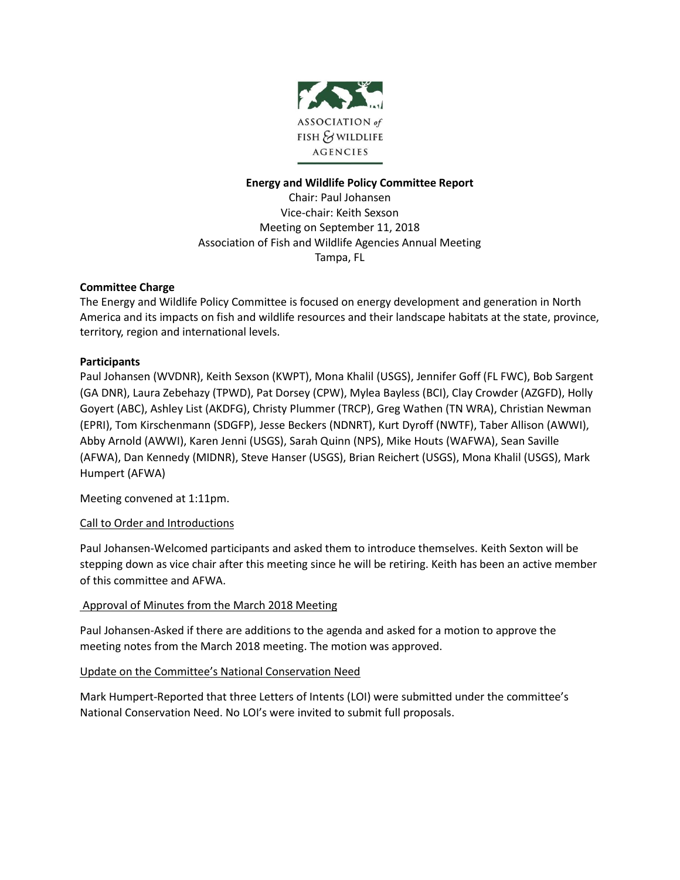

# **Energy and Wildlife Policy Committee Report**

Chair: Paul Johansen Vice-chair: Keith Sexson Meeting on September 11, 2018 Association of Fish and Wildlife Agencies Annual Meeting Tampa, FL

#### **Committee Charge**

The Energy and Wildlife Policy Committee is focused on energy development and generation in North America and its impacts on fish and wildlife resources and their landscape habitats at the state, province, territory, region and international levels.

#### **Participants**

Paul Johansen (WVDNR), Keith Sexson (KWPT), Mona Khalil (USGS), Jennifer Goff (FL FWC), Bob Sargent (GA DNR), Laura Zebehazy (TPWD), Pat Dorsey (CPW), Mylea Bayless (BCI), Clay Crowder (AZGFD), Holly Goyert (ABC), Ashley List (AKDFG), Christy Plummer (TRCP), Greg Wathen (TN WRA), Christian Newman (EPRI), Tom Kirschenmann (SDGFP), Jesse Beckers (NDNRT), Kurt Dyroff (NWTF), Taber Allison (AWWI), Abby Arnold (AWWI), Karen Jenni (USGS), Sarah Quinn (NPS), Mike Houts (WAFWA), Sean Saville (AFWA), Dan Kennedy (MIDNR), Steve Hanser (USGS), Brian Reichert (USGS), Mona Khalil (USGS), Mark Humpert (AFWA)

Meeting convened at 1:11pm.

# Call to Order and Introductions

Paul Johansen-Welcomed participants and asked them to introduce themselves. Keith Sexton will be stepping down as vice chair after this meeting since he will be retiring. Keith has been an active member of this committee and AFWA.

# Approval of Minutes from the March 2018 Meeting

Paul Johansen-Asked if there are additions to the agenda and asked for a motion to approve the meeting notes from the March 2018 meeting. The motion was approved.

# Update on the Committee's National Conservation Need

Mark Humpert-Reported that three Letters of Intents (LOI) were submitted under the committee's National Conservation Need. No LOI's were invited to submit full proposals.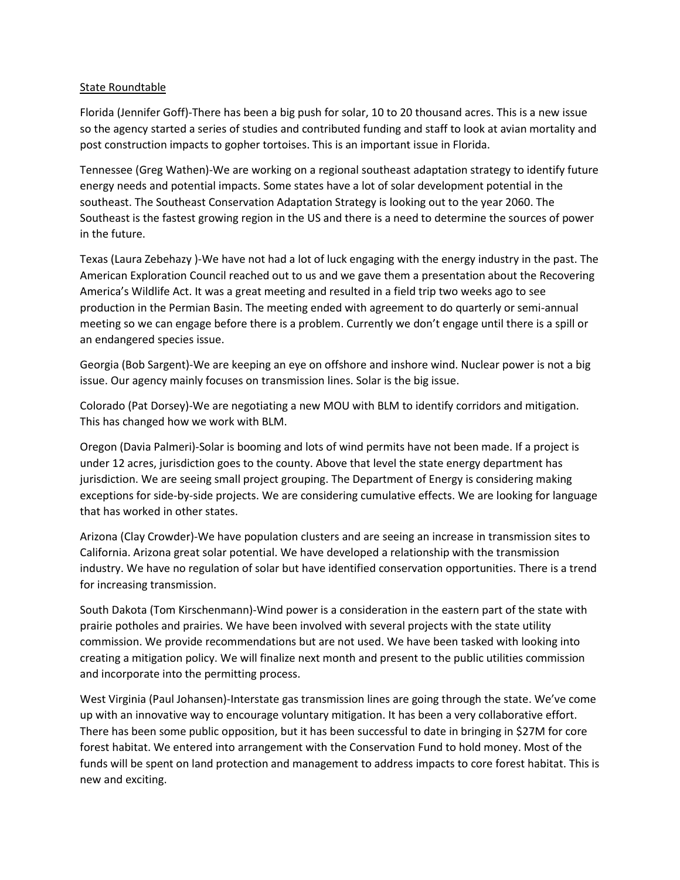# State Roundtable

Florida (Jennifer Goff)-There has been a big push for solar, 10 to 20 thousand acres. This is a new issue so the agency started a series of studies and contributed funding and staff to look at avian mortality and post construction impacts to gopher tortoises. This is an important issue in Florida.

Tennessee (Greg Wathen)-We are working on a regional southeast adaptation strategy to identify future energy needs and potential impacts. Some states have a lot of solar development potential in the southeast. The Southeast Conservation Adaptation Strategy is looking out to the year 2060. The Southeast is the fastest growing region in the US and there is a need to determine the sources of power in the future.

Texas (Laura Zebehazy )-We have not had a lot of luck engaging with the energy industry in the past. The American Exploration Council reached out to us and we gave them a presentation about the Recovering America's Wildlife Act. It was a great meeting and resulted in a field trip two weeks ago to see production in the Permian Basin. The meeting ended with agreement to do quarterly or semi-annual meeting so we can engage before there is a problem. Currently we don't engage until there is a spill or an endangered species issue.

Georgia (Bob Sargent)-We are keeping an eye on offshore and inshore wind. Nuclear power is not a big issue. Our agency mainly focuses on transmission lines. Solar is the big issue.

Colorado (Pat Dorsey)-We are negotiating a new MOU with BLM to identify corridors and mitigation. This has changed how we work with BLM.

Oregon (Davia Palmeri)-Solar is booming and lots of wind permits have not been made. If a project is under 12 acres, jurisdiction goes to the county. Above that level the state energy department has jurisdiction. We are seeing small project grouping. The Department of Energy is considering making exceptions for side-by-side projects. We are considering cumulative effects. We are looking for language that has worked in other states.

Arizona (Clay Crowder)-We have population clusters and are seeing an increase in transmission sites to California. Arizona great solar potential. We have developed a relationship with the transmission industry. We have no regulation of solar but have identified conservation opportunities. There is a trend for increasing transmission.

South Dakota (Tom Kirschenmann)-Wind power is a consideration in the eastern part of the state with prairie potholes and prairies. We have been involved with several projects with the state utility commission. We provide recommendations but are not used. We have been tasked with looking into creating a mitigation policy. We will finalize next month and present to the public utilities commission and incorporate into the permitting process.

West Virginia (Paul Johansen)-Interstate gas transmission lines are going through the state. We've come up with an innovative way to encourage voluntary mitigation. It has been a very collaborative effort. There has been some public opposition, but it has been successful to date in bringing in \$27M for core forest habitat. We entered into arrangement with the Conservation Fund to hold money. Most of the funds will be spent on land protection and management to address impacts to core forest habitat. This is new and exciting.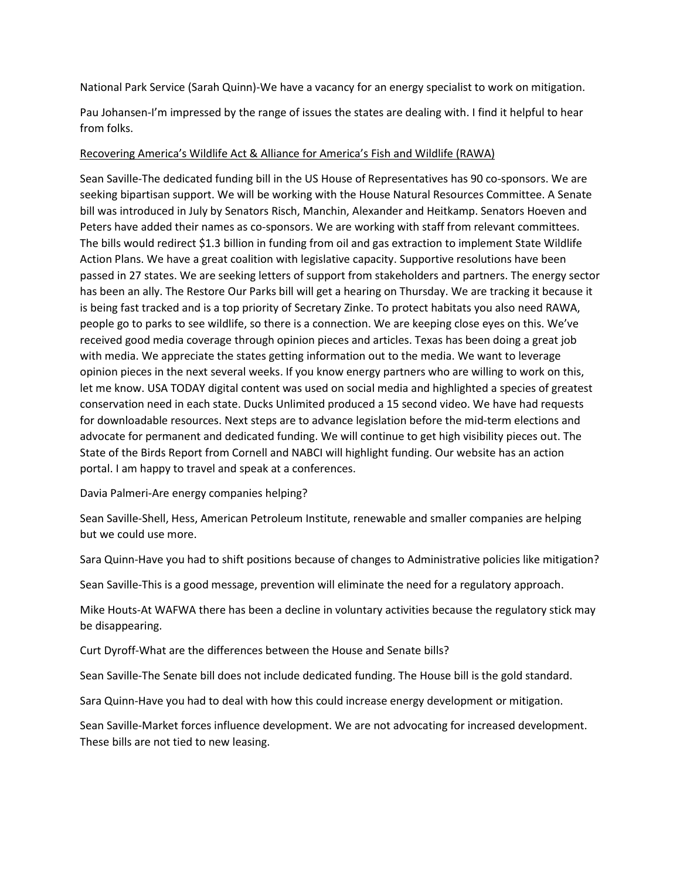National Park Service (Sarah Quinn)-We have a vacancy for an energy specialist to work on mitigation.

Pau Johansen-I'm impressed by the range of issues the states are dealing with. I find it helpful to hear from folks.

#### Recovering America's Wildlife Act & Alliance for America's Fish and Wildlife (RAWA)

Sean Saville-The dedicated funding bill in the US House of Representatives has 90 co-sponsors. We are seeking bipartisan support. We will be working with the House Natural Resources Committee. A Senate bill was introduced in July by Senators Risch, Manchin, Alexander and Heitkamp. Senators Hoeven and Peters have added their names as co-sponsors. We are working with staff from relevant committees. The bills would redirect \$1.3 billion in funding from oil and gas extraction to implement State Wildlife Action Plans. We have a great coalition with legislative capacity. Supportive resolutions have been passed in 27 states. We are seeking letters of support from stakeholders and partners. The energy sector has been an ally. The Restore Our Parks bill will get a hearing on Thursday. We are tracking it because it is being fast tracked and is a top priority of Secretary Zinke. To protect habitats you also need RAWA, people go to parks to see wildlife, so there is a connection. We are keeping close eyes on this. We've received good media coverage through opinion pieces and articles. Texas has been doing a great job with media. We appreciate the states getting information out to the media. We want to leverage opinion pieces in the next several weeks. If you know energy partners who are willing to work on this, let me know. USA TODAY digital content was used on social media and highlighted a species of greatest conservation need in each state. Ducks Unlimited produced a 15 second video. We have had requests for downloadable resources. Next steps are to advance legislation before the mid-term elections and advocate for permanent and dedicated funding. We will continue to get high visibility pieces out. The State of the Birds Report from Cornell and NABCI will highlight funding. Our website has an action portal. I am happy to travel and speak at a conferences.

Davia Palmeri-Are energy companies helping?

Sean Saville-Shell, Hess, American Petroleum Institute, renewable and smaller companies are helping but we could use more.

Sara Quinn-Have you had to shift positions because of changes to Administrative policies like mitigation?

Sean Saville-This is a good message, prevention will eliminate the need for a regulatory approach.

Mike Houts-At WAFWA there has been a decline in voluntary activities because the regulatory stick may be disappearing.

Curt Dyroff-What are the differences between the House and Senate bills?

Sean Saville-The Senate bill does not include dedicated funding. The House bill is the gold standard.

Sara Quinn-Have you had to deal with how this could increase energy development or mitigation.

Sean Saville-Market forces influence development. We are not advocating for increased development. These bills are not tied to new leasing.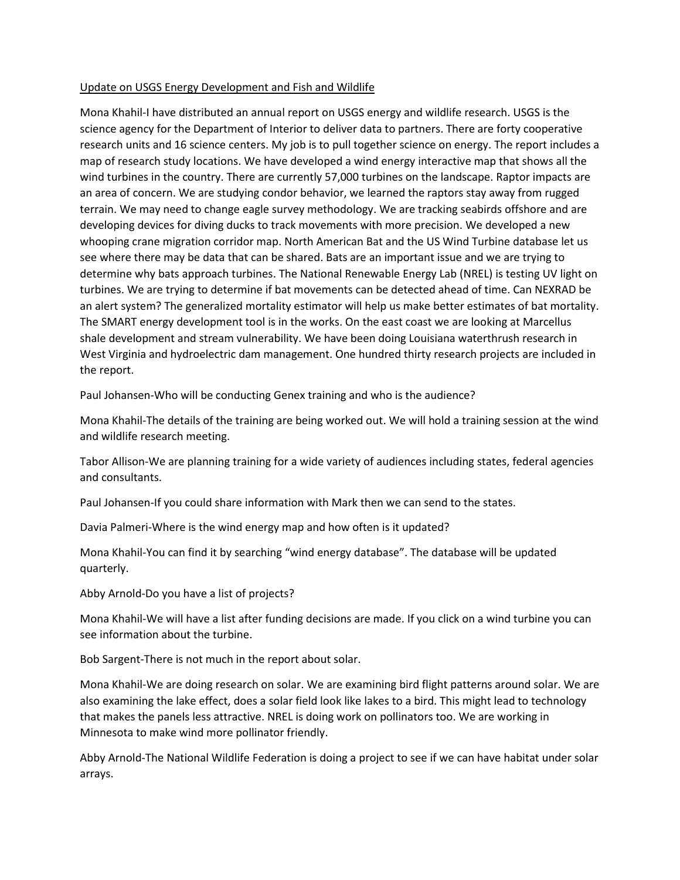# Update on USGS Energy Development and Fish and Wildlife

Mona Khahil-I have distributed an annual report on USGS energy and wildlife research. USGS is the science agency for the Department of Interior to deliver data to partners. There are forty cooperative research units and 16 science centers. My job is to pull together science on energy. The report includes a map of research study locations. We have developed a wind energy interactive map that shows all the wind turbines in the country. There are currently 57,000 turbines on the landscape. Raptor impacts are an area of concern. We are studying condor behavior, we learned the raptors stay away from rugged terrain. We may need to change eagle survey methodology. We are tracking seabirds offshore and are developing devices for diving ducks to track movements with more precision. We developed a new whooping crane migration corridor map. North American Bat and the US Wind Turbine database let us see where there may be data that can be shared. Bats are an important issue and we are trying to determine why bats approach turbines. The National Renewable Energy Lab (NREL) is testing UV light on turbines. We are trying to determine if bat movements can be detected ahead of time. Can NEXRAD be an alert system? The generalized mortality estimator will help us make better estimates of bat mortality. The SMART energy development tool is in the works. On the east coast we are looking at Marcellus shale development and stream vulnerability. We have been doing Louisiana waterthrush research in West Virginia and hydroelectric dam management. One hundred thirty research projects are included in the report.

Paul Johansen-Who will be conducting Genex training and who is the audience?

Mona Khahil-The details of the training are being worked out. We will hold a training session at the wind and wildlife research meeting.

Tabor Allison-We are planning training for a wide variety of audiences including states, federal agencies and consultants.

Paul Johansen-If you could share information with Mark then we can send to the states.

Davia Palmeri-Where is the wind energy map and how often is it updated?

Mona Khahil-You can find it by searching "wind energy database". The database will be updated quarterly.

Abby Arnold-Do you have a list of projects?

Mona Khahil-We will have a list after funding decisions are made. If you click on a wind turbine you can see information about the turbine.

Bob Sargent-There is not much in the report about solar.

Mona Khahil-We are doing research on solar. We are examining bird flight patterns around solar. We are also examining the lake effect, does a solar field look like lakes to a bird. This might lead to technology that makes the panels less attractive. NREL is doing work on pollinators too. We are working in Minnesota to make wind more pollinator friendly.

Abby Arnold-The National Wildlife Federation is doing a project to see if we can have habitat under solar arrays.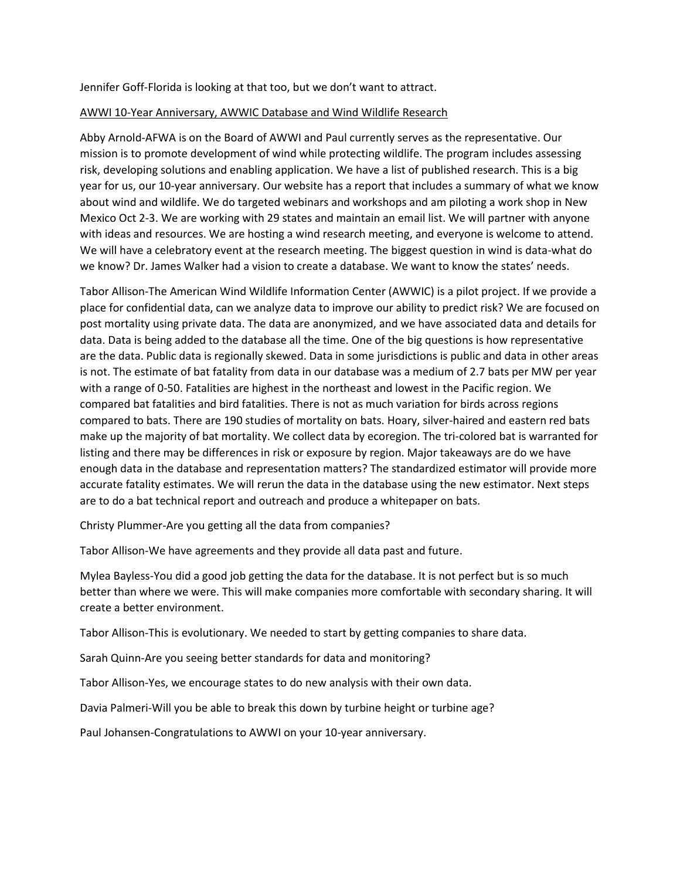Jennifer Goff-Florida is looking at that too, but we don't want to attract.

#### AWWI 10-Year Anniversary, AWWIC Database and Wind Wildlife Research

Abby Arnold-AFWA is on the Board of AWWI and Paul currently serves as the representative. Our mission is to promote development of wind while protecting wildlife. The program includes assessing risk, developing solutions and enabling application. We have a list of published research. This is a big year for us, our 10-year anniversary. Our website has a report that includes a summary of what we know about wind and wildlife. We do targeted webinars and workshops and am piloting a work shop in New Mexico Oct 2-3. We are working with 29 states and maintain an email list. We will partner with anyone with ideas and resources. We are hosting a wind research meeting, and everyone is welcome to attend. We will have a celebratory event at the research meeting. The biggest question in wind is data-what do we know? Dr. James Walker had a vision to create a database. We want to know the states' needs.

Tabor Allison-The American Wind Wildlife Information Center (AWWIC) is a pilot project. If we provide a place for confidential data, can we analyze data to improve our ability to predict risk? We are focused on post mortality using private data. The data are anonymized, and we have associated data and details for data. Data is being added to the database all the time. One of the big questions is how representative are the data. Public data is regionally skewed. Data in some jurisdictions is public and data in other areas is not. The estimate of bat fatality from data in our database was a medium of 2.7 bats per MW per year with a range of 0-50. Fatalities are highest in the northeast and lowest in the Pacific region. We compared bat fatalities and bird fatalities. There is not as much variation for birds across regions compared to bats. There are 190 studies of mortality on bats. Hoary, silver-haired and eastern red bats make up the majority of bat mortality. We collect data by ecoregion. The tri-colored bat is warranted for listing and there may be differences in risk or exposure by region. Major takeaways are do we have enough data in the database and representation matters? The standardized estimator will provide more accurate fatality estimates. We will rerun the data in the database using the new estimator. Next steps are to do a bat technical report and outreach and produce a whitepaper on bats.

Christy Plummer-Are you getting all the data from companies?

Tabor Allison-We have agreements and they provide all data past and future.

Mylea Bayless-You did a good job getting the data for the database. It is not perfect but is so much better than where we were. This will make companies more comfortable with secondary sharing. It will create a better environment.

Tabor Allison-This is evolutionary. We needed to start by getting companies to share data.

Sarah Quinn-Are you seeing better standards for data and monitoring?

Tabor Allison-Yes, we encourage states to do new analysis with their own data.

Davia Palmeri-Will you be able to break this down by turbine height or turbine age?

Paul Johansen-Congratulations to AWWI on your 10-year anniversary.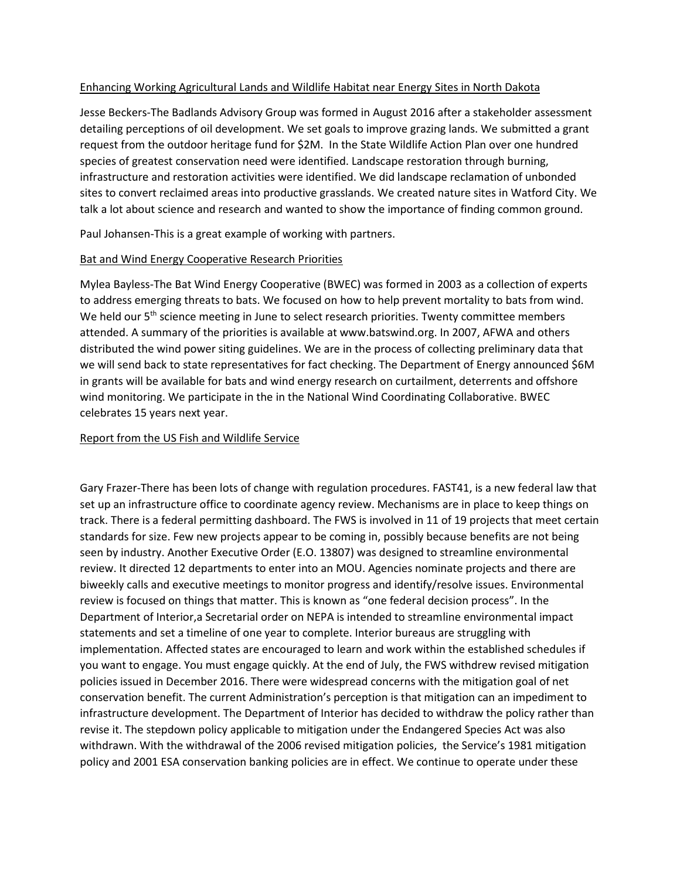# Enhancing Working Agricultural Lands and Wildlife Habitat near Energy Sites in North Dakota

Jesse Beckers-The Badlands Advisory Group was formed in August 2016 after a stakeholder assessment detailing perceptions of oil development. We set goals to improve grazing lands. We submitted a grant request from the outdoor heritage fund for \$2M. In the State Wildlife Action Plan over one hundred species of greatest conservation need were identified. Landscape restoration through burning, infrastructure and restoration activities were identified. We did landscape reclamation of unbonded sites to convert reclaimed areas into productive grasslands. We created nature sites in Watford City. We talk a lot about science and research and wanted to show the importance of finding common ground.

Paul Johansen-This is a great example of working with partners.

# Bat and Wind Energy Cooperative Research Priorities

Mylea Bayless-The Bat Wind Energy Cooperative (BWEC) was formed in 2003 as a collection of experts to address emerging threats to bats. We focused on how to help prevent mortality to bats from wind. We held our 5<sup>th</sup> science meeting in June to select research priorities. Twenty committee members attended. A summary of the priorities is available at www.batswind.org. In 2007, AFWA and others distributed the wind power siting guidelines. We are in the process of collecting preliminary data that we will send back to state representatives for fact checking. The Department of Energy announced \$6M in grants will be available for bats and wind energy research on curtailment, deterrents and offshore wind monitoring. We participate in the in the National Wind Coordinating Collaborative. BWEC celebrates 15 years next year.

### Report from the US Fish and Wildlife Service

Gary Frazer-There has been lots of change with regulation procedures. FAST41, is a new federal law that set up an infrastructure office to coordinate agency review. Mechanisms are in place to keep things on track. There is a federal permitting dashboard. The FWS is involved in 11 of 19 projects that meet certain standards for size. Few new projects appear to be coming in, possibly because benefits are not being seen by industry. Another Executive Order (E.O. 13807) was designed to streamline environmental review. It directed 12 departments to enter into an MOU. Agencies nominate projects and there are biweekly calls and executive meetings to monitor progress and identify/resolve issues. Environmental review is focused on things that matter. This is known as "one federal decision process". In the Department of Interior,a Secretarial order on NEPA is intended to streamline environmental impact statements and set a timeline of one year to complete. Interior bureaus are struggling with implementation. Affected states are encouraged to learn and work within the established schedules if you want to engage. You must engage quickly. At the end of July, the FWS withdrew revised mitigation policies issued in December 2016. There were widespread concerns with the mitigation goal of net conservation benefit. The current Administration's perception is that mitigation can an impediment to infrastructure development. The Department of Interior has decided to withdraw the policy rather than revise it. The stepdown policy applicable to mitigation under the Endangered Species Act was also withdrawn. With the withdrawal of the 2006 revised mitigation policies, the Service's 1981 mitigation policy and 2001 ESA conservation banking policies are in effect. We continue to operate under these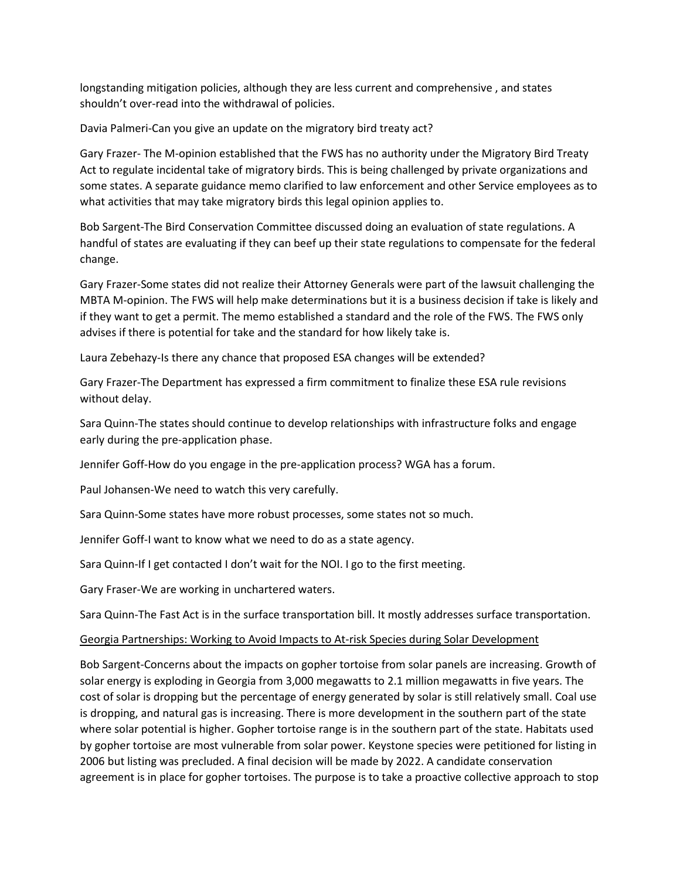longstanding mitigation policies, although they are less current and comprehensive , and states shouldn't over-read into the withdrawal of policies.

Davia Palmeri-Can you give an update on the migratory bird treaty act?

Gary Frazer- The M-opinion established that the FWS has no authority under the Migratory Bird Treaty Act to regulate incidental take of migratory birds. This is being challenged by private organizations and some states. A separate guidance memo clarified to law enforcement and other Service employees as to what activities that may take migratory birds this legal opinion applies to.

Bob Sargent-The Bird Conservation Committee discussed doing an evaluation of state regulations. A handful of states are evaluating if they can beef up their state regulations to compensate for the federal change.

Gary Frazer-Some states did not realize their Attorney Generals were part of the lawsuit challenging the MBTA M-opinion. The FWS will help make determinations but it is a business decision if take is likely and if they want to get a permit. The memo established a standard and the role of the FWS. The FWS only advises if there is potential for take and the standard for how likely take is.

Laura Zebehazy-Is there any chance that proposed ESA changes will be extended?

Gary Frazer-The Department has expressed a firm commitment to finalize these ESA rule revisions without delay.

Sara Quinn-The states should continue to develop relationships with infrastructure folks and engage early during the pre-application phase.

Jennifer Goff-How do you engage in the pre-application process? WGA has a forum.

Paul Johansen-We need to watch this very carefully.

Sara Quinn-Some states have more robust processes, some states not so much.

Jennifer Goff-I want to know what we need to do as a state agency.

Sara Quinn-If I get contacted I don't wait for the NOI. I go to the first meeting.

Gary Fraser-We are working in unchartered waters.

Sara Quinn-The Fast Act is in the surface transportation bill. It mostly addresses surface transportation.

# Georgia Partnerships: Working to Avoid Impacts to At-risk Species during Solar Development

Bob Sargent-Concerns about the impacts on gopher tortoise from solar panels are increasing. Growth of solar energy is exploding in Georgia from 3,000 megawatts to 2.1 million megawatts in five years. The cost of solar is dropping but the percentage of energy generated by solar is still relatively small. Coal use is dropping, and natural gas is increasing. There is more development in the southern part of the state where solar potential is higher. Gopher tortoise range is in the southern part of the state. Habitats used by gopher tortoise are most vulnerable from solar power. Keystone species were petitioned for listing in 2006 but listing was precluded. A final decision will be made by 2022. A candidate conservation agreement is in place for gopher tortoises. The purpose is to take a proactive collective approach to stop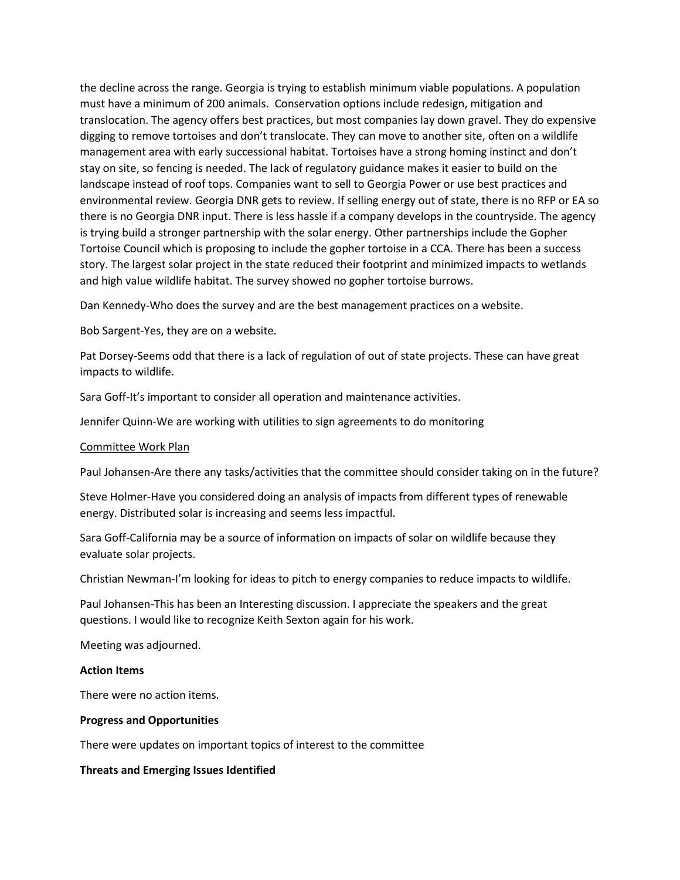the decline across the range. Georgia is trying to establish minimum viable populations. A population must have a minimum of 200 animals. Conservation options include redesign, mitigation and translocation. The agency offers best practices, but most companies lay down gravel. They do expensive digging to remove tortoises and don't translocate. They can move to another site, often on a wildlife management area with early successional habitat. Tortoises have a strong homing instinct and don't stay on site, so fencing is needed. The lack of regulatory guidance makes it easier to build on the landscape instead of roof tops. Companies want to sell to Georgia Power or use best practices and environmental review. Georgia DNR gets to review. If selling energy out of state, there is no RFP or EA so there is no Georgia DNR input. There is less hassle if a company develops in the countryside. The agency is trying build a stronger partnership with the solar energy. Other partnerships include the Gopher Tortoise Council which is proposing to include the gopher tortoise in a CCA. There has been a success story. The largest solar project in the state reduced their footprint and minimized impacts to wetlands and high value wildlife habitat. The survey showed no gopher tortoise burrows.

Dan Kennedy-Who does the survey and are the best management practices on a website.

Bob Sargent-Yes, they are on a website.

Pat Dorsey-Seems odd that there is a lack of regulation of out of state projects. These can have great impacts to wildlife.

Sara Goff-It's important to consider all operation and maintenance activities.

Jennifer Quinn-We are working with utilities to sign agreements to do monitoring

#### Committee Work Plan

Paul Johansen-Are there any tasks/activities that the committee should consider taking on in the future?

Steve Holmer-Have you considered doing an analysis of impacts from different types of renewable energy. Distributed solar is increasing and seems less impactful.

Sara Goff-California may be a source of information on impacts of solar on wildlife because they evaluate solar projects.

Christian Newman-I'm looking for ideas to pitch to energy companies to reduce impacts to wildlife.

Paul Johansen-This has been an Interesting discussion. I appreciate the speakers and the great questions. I would like to recognize Keith Sexton again for his work.

Meeting was adjourned.

#### **Action Items**

There were no action items.

#### **Progress and Opportunities**

There were updates on important topics of interest to the committee

#### **Threats and Emerging Issues Identified**